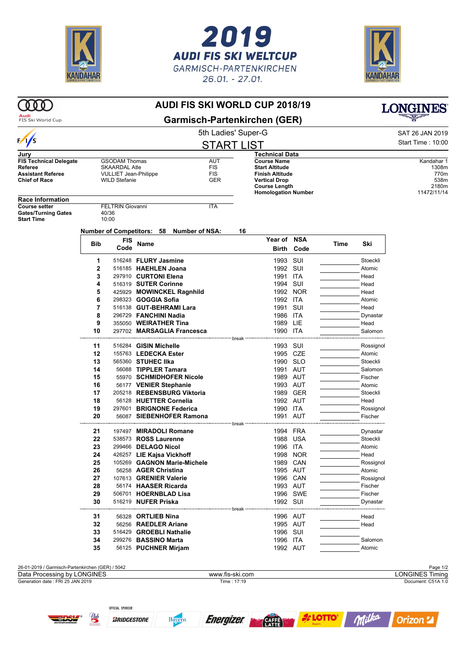

OFFICIAL SPONSOR

*BRIDGESTONE* 

Bayern

 $Q_{\mu\nu}$ 





**LONGINES** 

## **AUDI FIS SKI WORLD CUP 2018/19**

Audi<br>FIS Ski World Cup

 $\infty$ 

| Audi<br>FIS Ski World Cup                                                                    |            |                                                                                                      |                                                      | <b>Garmisch-Partenkirchen (GER)</b>    |                                                                                                                       |                              |      |                      |                                              |
|----------------------------------------------------------------------------------------------|------------|------------------------------------------------------------------------------------------------------|------------------------------------------------------|----------------------------------------|-----------------------------------------------------------------------------------------------------------------------|------------------------------|------|----------------------|----------------------------------------------|
|                                                                                              |            |                                                                                                      | 5th Ladies' Super-G                                  |                                        |                                                                                                                       |                              |      |                      | SAT 26 JAN 2019                              |
| $\frac{1}{s}$                                                                                |            |                                                                                                      | <b>START LIST</b>                                    |                                        |                                                                                                                       |                              |      |                      | Start Time: 10:00                            |
| Jury                                                                                         |            |                                                                                                      |                                                      |                                        | <b>Technical Data</b>                                                                                                 |                              |      |                      |                                              |
| <b>FIS Technical Delegate</b><br>Referee<br><b>Assistant Referee</b><br><b>Chief of Race</b> |            | <b>GSODAM Thomas</b><br><b>SKAARDAL Atle</b><br><b>VULLIET Jean-Philippe</b><br><b>WILD Stefanie</b> |                                                      | <b>AUT</b><br><b>FIS</b><br>FIS<br>GER | <b>Course Name</b><br><b>Start Altitude</b><br><b>Finish Altitude</b><br><b>Vertical Drop</b><br><b>Course Length</b> |                              |      |                      | Kandahar 1<br>1308m<br>770m<br>538m<br>2180m |
| <b>Race Information</b>                                                                      |            |                                                                                                      |                                                      |                                        | <b>Homologation Number</b>                                                                                            |                              |      |                      | 11472/11/14                                  |
| <b>Course setter</b><br><b>Gates/Turning Gates</b><br><b>Start Time</b>                      |            | <b>FELTRIN Giovanni</b><br>40/36<br>10:00                                                            |                                                      | <b>ITA</b>                             |                                                                                                                       |                              |      |                      |                                              |
|                                                                                              |            |                                                                                                      | Number of Competitors: 58 Number of NSA:             |                                        | 16                                                                                                                    |                              |      |                      |                                              |
|                                                                                              | <b>Bib</b> | <b>FIS</b><br>Code                                                                                   | Name                                                 |                                        |                                                                                                                       | Year of NSA<br>Birth<br>Code | Time | Ski                  |                                              |
|                                                                                              | 1          |                                                                                                      | 516248 FLURY Jasmine                                 |                                        |                                                                                                                       | 1993 SUI                     |      | Stoeckli             |                                              |
|                                                                                              | 2          |                                                                                                      | 516185 HAEHLEN Joana                                 |                                        | 1992                                                                                                                  | SUI                          |      | Atomic               |                                              |
|                                                                                              | 3          |                                                                                                      | 297910 CURTONI Elena                                 |                                        |                                                                                                                       | 1991 ITA                     |      | Head                 |                                              |
|                                                                                              | 4          |                                                                                                      | 516319 SUTER Corinne                                 |                                        |                                                                                                                       | 1994 SUI                     |      | Head                 |                                              |
|                                                                                              | 5          |                                                                                                      | 425929 MOWINCKEL Ragnhild                            |                                        | 1992                                                                                                                  | NOR                          |      | Head                 |                                              |
|                                                                                              | 6          |                                                                                                      | 298323 <b>GOGGIA Sofia</b>                           |                                        |                                                                                                                       | 1992 ITA                     |      | Atomic               |                                              |
|                                                                                              | 7          |                                                                                                      | 516138 GUT-BEHRAMI Lara                              |                                        | 1991                                                                                                                  | SUI                          |      | Head                 |                                              |
|                                                                                              | 8          |                                                                                                      | 296729 FANCHINI Nadia                                |                                        |                                                                                                                       | 1986 ITA                     |      | Dynastar             |                                              |
|                                                                                              | 9<br>10    |                                                                                                      | 355050 WEIRATHER Tina<br>297702 MARSAGLIA Francesca  |                                        |                                                                                                                       | 1989 LIE<br>1990 ITA         |      | Head<br>Salomon      |                                              |
|                                                                                              | 11         |                                                                                                      | 516284 GISIN Michelle                                |                                        |                                                                                                                       | 1993 SUI                     |      | Rossignol            |                                              |
|                                                                                              | 12         |                                                                                                      | 155763 LEDECKA Ester                                 |                                        |                                                                                                                       | 1995 CZE                     |      | Atomic               |                                              |
|                                                                                              | 13         |                                                                                                      | 565360 STUHEC IIka                                   |                                        |                                                                                                                       | 1990 SLO                     |      | Stoeckli             |                                              |
|                                                                                              | 14         |                                                                                                      | 56088 TIPPLER Tamara                                 |                                        |                                                                                                                       | 1991 AUT                     |      | Salomon              |                                              |
|                                                                                              | 15         |                                                                                                      | 55970 SCHMIDHOFER Nicole                             |                                        |                                                                                                                       | 1989 AUT                     |      | Fischer              |                                              |
|                                                                                              | 16         |                                                                                                      | 56177 VENIER Stephanie                               |                                        |                                                                                                                       | 1993 AUT                     |      | Atomic               |                                              |
|                                                                                              | 17         |                                                                                                      | 205218 REBENSBURG Viktoria                           |                                        |                                                                                                                       | 1989 GER                     |      | Stoeckli             |                                              |
|                                                                                              | 18         |                                                                                                      | 56128 HUETTER Cornelia                               |                                        |                                                                                                                       | 1992 AUT                     |      | Head                 |                                              |
|                                                                                              | 19<br>20   |                                                                                                      | 297601 BRIGNONE Federica<br>56087 SIEBENHOFER Ramona |                                        |                                                                                                                       | 1990 ITA<br>1991 AUT         |      | Rossignol<br>Fischer |                                              |
|                                                                                              |            |                                                                                                      |                                                      |                                        |                                                                                                                       |                              |      | ----------------     |                                              |
|                                                                                              | 21<br>22   |                                                                                                      | 197497 MIRADOLI Romane                               |                                        |                                                                                                                       | 1994 FRA                     |      | Dynastar             |                                              |
|                                                                                              | 23         |                                                                                                      | 538573 ROSS Laurenne<br>299466 DELAGO Nicol          |                                        | 1996                                                                                                                  | 1988 USA<br>ITA              |      | Stoeckli<br>Atomic   |                                              |
|                                                                                              | 24         |                                                                                                      | 426257 LIE Kajsa Vickhoff                            |                                        | 1998                                                                                                                  | NOR                          |      | Head                 |                                              |
|                                                                                              | 25         |                                                                                                      | 105269 GAGNON Marie-Michele                          |                                        |                                                                                                                       | 1989 CAN                     |      | Rossignol            |                                              |
|                                                                                              | 26         |                                                                                                      | 56258 AGER Christina                                 |                                        |                                                                                                                       | 1995 AUT                     |      | Atomic               |                                              |
|                                                                                              | 27         |                                                                                                      | 107613 GRENIER Valerie                               |                                        |                                                                                                                       | 1996 CAN                     |      | Rossignol            |                                              |
|                                                                                              | 28         |                                                                                                      | 56174 HAASER Ricarda                                 |                                        |                                                                                                                       | 1993 AUT                     |      | Fischer              |                                              |
|                                                                                              | 29         |                                                                                                      | 506701 HOERNBLAD Lisa                                |                                        |                                                                                                                       | 1996 SWE                     |      | Fischer              |                                              |
|                                                                                              | 30         |                                                                                                      | 516219 NUFER Priska                                  |                                        |                                                                                                                       | 1992 SUI                     |      | Dynastar             |                                              |
|                                                                                              | 31         |                                                                                                      | 56328 ORTLIEB Nina                                   |                                        | break                                                                                                                 | 1996 AUT                     |      | Head                 |                                              |
|                                                                                              | 32         |                                                                                                      | 56256 RAEDLER Ariane                                 |                                        |                                                                                                                       | 1995 AUT                     |      | Head                 |                                              |
|                                                                                              | 33         |                                                                                                      | 516429 GROEBLI Nathalie                              |                                        |                                                                                                                       | 1996 SUI                     |      |                      |                                              |
|                                                                                              | 34         |                                                                                                      | 299276 BASSINO Marta                                 |                                        |                                                                                                                       | 1996 ITA                     |      | Salomon              |                                              |
|                                                                                              | 35         |                                                                                                      | 56125 PUCHNER Mirjam                                 |                                        |                                                                                                                       | 1992 AUT                     |      | Atomic               |                                              |
| 26-01-2019 / Garmisch-Partenkirchen (GER) / 5042                                             |            |                                                                                                      |                                                      |                                        |                                                                                                                       |                              |      |                      | Page 1/2                                     |
| Data Processing by LONGINES                                                                  |            |                                                                                                      |                                                      | www.fis-ski.com                        |                                                                                                                       |                              |      |                      | <b>LONGINES Timing</b>                       |
| Generation date: FRI 25 JAN 2019                                                             |            |                                                                                                      |                                                      | Time: 17:19                            |                                                                                                                       |                              |      |                      | Document: C51A 1.0                           |

Energizer **Research** 

**A** LOTTO